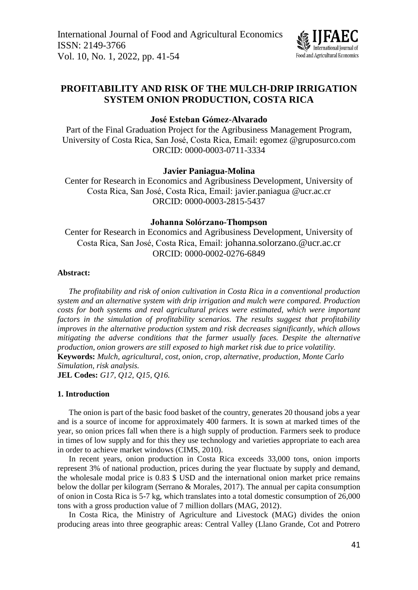

# **PROFITABILITY AND RISK OF THE MULCH-DRIP IRRIGATION SYSTEM ONION PRODUCTION, COSTA RICA**

## **José Esteban Gómez-Alvarado**

Part of the Final Graduation Project for the Agribusiness Management Program, University of Costa Rica, San José, Costa Rica, Email: egomez.@gruposurco.com ORCID: 0000-0003-0711-3334

## **Javier Paniagua-Molina**

Center for Research in Economics and Agribusiness Development, University of Costa Rica, San José, Costa Rica, Email: [javier.paniagua.@ucr.ac.cr](mailto:javier.paniagua@ucr.ac.cr) ORCID: 0000-0003-2815-5437

### **Johanna Solórzano-Thompson**

Center for Research in Economics and Agribusiness Development, University of Costa Rica, San José, Costa Rica, Email: johanna.solorzano.@ucr.ac.cr ORCID: 0000-0002-0276-6849

## **Abstract:**

*The profitability and risk of onion cultivation in Costa Rica in a conventional production system and an alternative system with drip irrigation and mulch were compared. Production costs for both systems and real agricultural prices were estimated, which were important factors in the simulation of profitability scenarios. The results suggest that profitability improves in the alternative production system and risk decreases significantly, which allows mitigating the adverse conditions that the farmer usually faces. Despite the alternative production, onion growers are still exposed to high market risk due to price volatility.* **Keywords:** *Mulch, agricultural, cost, onion, crop, alternative, production, Monte Carlo Simulation, risk analysis.* **JEL Codes:** *G17, Q12, Q15, Q16.*

## **1. Introduction**

The onion is part of the basic food basket of the country, generates 20 thousand jobs a year and is a source of income for approximately 400 farmers. It is sown at marked times of the year, so onion prices fall when there is a high supply of production. Farmers seek to produce in times of low supply and for this they use technology and varieties appropriate to each area in order to achieve market windows (CIMS, 2010).

In recent years, onion production in Costa Rica exceeds 33,000 tons, onion imports represent 3% of national production, prices during the year fluctuate by supply and demand, the wholesale modal price is 0.83 \$ USD and the international onion market price remains below the dollar per kilogram (Serrano & Morales, 2017). The annual per capita consumption of onion in Costa Rica is 5-7 kg, which translates into a total domestic consumption of 26,000 tons with a gross production value of 7 million dollars (MAG, 2012).

In Costa Rica, the Ministry of Agriculture and Livestock (MAG) divides the onion producing areas into three geographic areas: Central Valley (Llano Grande, Cot and Potrero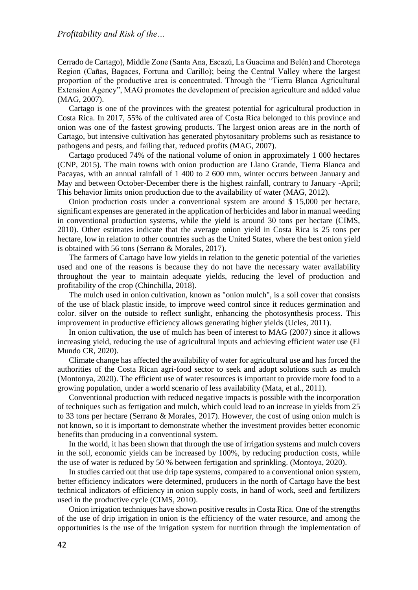Cerrado de Cartago), Middle Zone (Santa Ana, Escazú, La Guacima and Belén) and Chorotega Region (Cañas, Bagaces, Fortuna and Carillo); being the Central Valley where the largest proportion of the productive area is concentrated. Through the "Tierra Blanca Agricultural Extension Agency", MAG promotes the development of precision agriculture and added value (MAG, 2007).

Cartago is one of the provinces with the greatest potential for agricultural production in Costa Rica. In 2017, 55% of the cultivated area of Costa Rica belonged to this province and onion was one of the fastest growing products. The largest onion areas are in the north of Cartago, but intensive cultivation has generated phytosanitary problems such as resistance to pathogens and pests, and failing that, reduced profits (MAG, 2007).

Cartago produced 74% of the national volume of onion in approximately 1 000 hectares (CNP, 2015). The main towns with onion production are Llano Grande, Tierra Blanca and Pacayas, with an annual rainfall of 1 400 to 2 600 mm, winter occurs between January and May and between October-December there is the highest rainfall, contrary to January -April; This behavior limits onion production due to the availability of water (MAG, 2012).

Onion production costs under a conventional system are around \$ 15,000 per hectare, significant expenses are generated in the application of herbicides and labor in manual weeding in conventional production systems, while the yield is around 30 tons per hectare (CIMS, 2010). Other estimates indicate that the average onion yield in Costa Rica is 25 tons per hectare, low in relation to other countries such as the United States, where the best onion yield is obtained with 56 tons (Serrano & Morales, 2017).

The farmers of Cartago have low yields in relation to the genetic potential of the varieties used and one of the reasons is because they do not have the necessary water availability throughout the year to maintain adequate yields, reducing the level of production and profitability of the crop (Chinchilla, 2018).

The mulch used in onion cultivation, known as "onion mulch", is a soil cover that consists of the use of black plastic inside, to improve weed control since it reduces germination and color. silver on the outside to reflect sunlight, enhancing the photosynthesis process. This improvement in productive efficiency allows generating higher yields (Ucles, 2011).

In onion cultivation, the use of mulch has been of interest to MAG (2007) since it allows increasing yield, reducing the use of agricultural inputs and achieving efficient water use (El Mundo CR, 2020).

Climate change has affected the availability of water for agricultural use and has forced the authorities of the Costa Rican agri-food sector to seek and adopt solutions such as mulch (Montonya, 2020). The efficient use of water resources is important to provide more food to a growing population, under a world scenario of less availability (Mata, et al., 2011).

Conventional production with reduced negative impacts is possible with the incorporation of techniques such as fertigation and mulch, which could lead to an increase in yields from 25 to 33 tons per hectare (Serrano & Morales, 2017). However, the cost of using onion mulch is not known, so it is important to demonstrate whether the investment provides better economic benefits than producing in a conventional system.

In the world, it has been shown that through the use of irrigation systems and mulch covers in the soil, economic yields can be increased by 100%, by reducing production costs, while the use of water is reduced by 50 % between fertigation and sprinkling. (Montoya, 2020).

In studies carried out that use drip tape systems, compared to a conventional onion system, better efficiency indicators were determined, producers in the north of Cartago have the best technical indicators of efficiency in onion supply costs, in hand of work, seed and fertilizers used in the productive cycle (CIMS, 2010).

Onion irrigation techniques have shown positive results in Costa Rica. One of the strengths of the use of drip irrigation in onion is the efficiency of the water resource, and among the opportunities is the use of the irrigation system for nutrition through the implementation of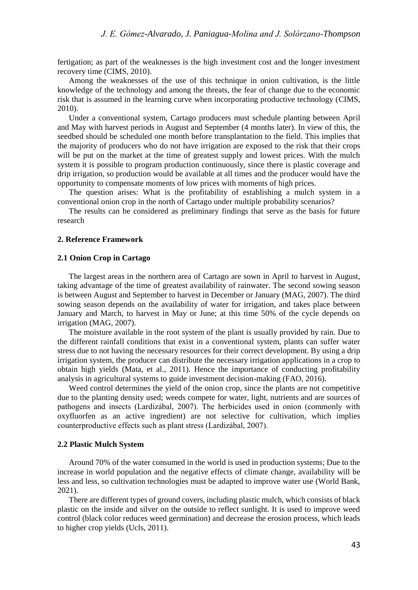fertigation; as part of the weaknesses is the high investment cost and the longer investment recovery time (CIMS, 2010).

Among the weaknesses of the use of this technique in onion cultivation, is the little knowledge of the technology and among the threats, the fear of change due to the economic risk that is assumed in the learning curve when incorporating productive technology (CIMS, 2010).

Under a conventional system, Cartago producers must schedule planting between April and May with harvest periods in August and September (4 months later). In view of this, the seedbed should be scheduled one month before transplantation to the field. This implies that the majority of producers who do not have irrigation are exposed to the risk that their crops will be put on the market at the time of greatest supply and lowest prices. With the mulch system it is possible to program production continuously, since there is plastic coverage and drip irrigation, so production would be available at all times and the producer would have the opportunity to compensate moments of low prices with moments of high prices.

The question arises: What is the profitability of establishing a mulch system in a conventional onion crop in the north of Cartago under multiple probability scenarios?

The results can be considered as preliminary findings that serve as the basis for future research

### **2. Reference Framework**

## **2.1 Onion Crop in Cartago**

The largest areas in the northern area of Cartago are sown in April to harvest in August, taking advantage of the time of greatest availability of rainwater. The second sowing season is between August and September to harvest in December or January (MAG, 2007). The third sowing season depends on the availability of water for irrigation, and takes place between January and March, to harvest in May or June; at this time 50% of the cycle depends on irrigation (MAG, 2007).

The moisture available in the root system of the plant is usually provided by rain. Due to the different rainfall conditions that exist in a conventional system, plants can suffer water stress due to not having the necessary resources for their correct development. By using a drip irrigation system, the producer can distribute the necessary irrigation applications in a crop to obtain high yields (Mata, et al., 2011). Hence the importance of conducting profitability analysis in agricultural systems to guide investment decision-making (FAO, 2016).

Weed control determines the yield of the onion crop, since the plants are not competitive due to the planting density used; weeds compete for water, light, nutrients and are sources of pathogens and insects (Lardizábal, 2007). The herbicides used in onion (commonly with oxyfluorfen as an active ingredient) are not selective for cultivation, which implies counterproductive effects such as plant stress (Lardizábal, 2007).

## **2.2 Plastic Mulch System**

Around 70% of the water consumed in the world is used in production systems; Due to the increase in world population and the negative effects of climate change, availability will be less and less, so cultivation technologies must be adapted to improve water use (World Bank, 2021).

There are different types of ground covers, including plastic mulch, which consists of black plastic on the inside and silver on the outside to reflect sunlight. It is used to improve weed control (black color reduces weed germination) and decrease the erosion process, which leads to higher crop yields (Ucls, 2011).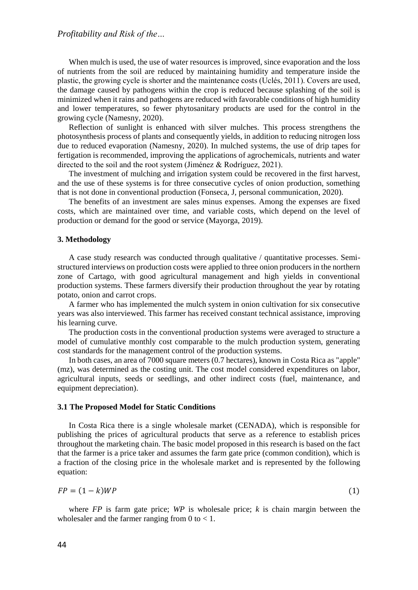When mulch is used, the use of water resources is improved, since evaporation and the loss of nutrients from the soil are reduced by maintaining humidity and temperature inside the plastic, the growing cycle is shorter and the maintenance costs (Uclés, 2011). Covers are used, the damage caused by pathogens within the crop is reduced because splashing of the soil is minimized when it rains and pathogens are reduced with favorable conditions of high humidity and lower temperatures, so fewer phytosanitary products are used for the control in the growing cycle (Namesny, 2020).

Reflection of sunlight is enhanced with silver mulches. This process strengthens the photosynthesis process of plants and consequently yields, in addition to reducing nitrogen loss due to reduced evaporation (Namesny, 2020). In mulched systems, the use of drip tapes for fertigation is recommended, improving the applications of agrochemicals, nutrients and water directed to the soil and the root system (Jiménez & Rodríguez, 2021).

The investment of mulching and irrigation system could be recovered in the first harvest, and the use of these systems is for three consecutive cycles of onion production, something that is not done in conventional production (Fonseca, J, personal communication, 2020).

The benefits of an investment are sales minus expenses. Among the expenses are fixed costs, which are maintained over time, and variable costs, which depend on the level of production or demand for the good or service (Mayorga, 2019).

#### **3. Methodology**

A case study research was conducted through qualitative / quantitative processes. Semistructured interviews on production costs were applied to three onion producers in the northern zone of Cartago, with good agricultural management and high yields in conventional production systems. These farmers diversify their production throughout the year by rotating potato, onion and carrot crops.

A farmer who has implemented the mulch system in onion cultivation for six consecutive years was also interviewed. This farmer has received constant technical assistance, improving his learning curve.

The production costs in the conventional production systems were averaged to structure a model of cumulative monthly cost comparable to the mulch production system, generating cost standards for the management control of the production systems.

In both cases, an area of 7000 square meters (0.7 hectares), known in Costa Rica as "apple" (mz), was determined as the costing unit. The cost model considered expenditures on labor, agricultural inputs, seeds or seedlings, and other indirect costs (fuel, maintenance, and equipment depreciation).

### **3.1 The Proposed Model for Static Conditions**

In Costa Rica there is a single wholesale market (CENADA), which is responsible for publishing the prices of agricultural products that serve as a reference to establish prices throughout the marketing chain. The basic model proposed in this research is based on the fact that the farmer is a price taker and assumes the farm gate price (common condition), which is a fraction of the closing price in the wholesale market and is represented by the following equation:

$$
FP = (1 - k)WP
$$
 (1)

where *FP* is farm gate price; *WP* is wholesale price; *k* is chain margin between the wholesaler and the farmer ranging from  $0$  to  $< 1$ .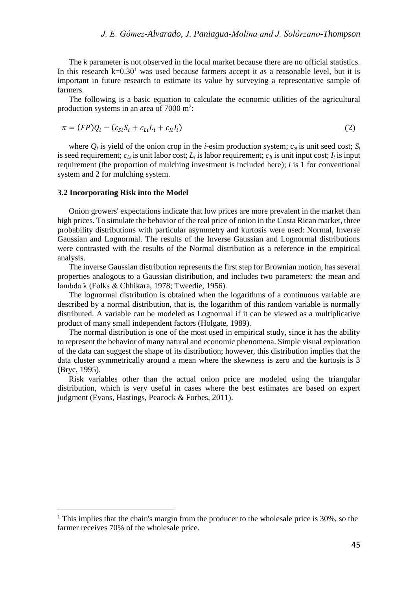The *k* parameter is not observed in the local market because there are no official statistics. In this research  $k=0.30<sup>1</sup>$  was used because farmers accept it as a reasonable level, but it is important in future research to estimate its value by surveying a representative sample of farmers.

The following is a basic equation to calculate the economic utilities of the agricultural production systems in an area of  $7000 \text{ m}^2$ :

$$
\pi = (FP)Q_i - (c_{Si}S_i + c_{Li}L_i + c_{li}I_i)
$$
\n
$$
(2)
$$

where  $Q_i$  is yield of the onion crop in the *i*-esim production system;  $c_{si}$  is unit seed cost;  $S_i$ is seed requirement;  $c_L$  is unit labor cost;  $L_i$  is labor requirement;  $c_L$  is unit input cost;  $I_i$  is input requirement (the proportion of mulching investment is included here); *i* is 1 for conventional system and 2 for mulching system.

### **3.2 Incorporating Risk into the Model**

 $\overline{a}$ 

Onion growers' expectations indicate that low prices are more prevalent in the market than high prices. To simulate the behavior of the real price of onion in the Costa Rican market, three probability distributions with particular asymmetry and kurtosis were used: Normal, Inverse Gaussian and Lognormal. The results of the Inverse Gaussian and Lognormal distributions were contrasted with the results of the Normal distribution as a reference in the empirical analysis.

The inverse Gaussian distribution represents the first step for Brownian motion, has several properties analogous to a Gaussian distribution, and includes two parameters: the mean and lambda λ (Folks & Chhikara, 1978; Tweedie, 1956).

The lognormal distribution is obtained when the logarithms of a continuous variable are described by a normal distribution, that is, the logarithm of this random variable is normally distributed. A variable can be modeled as Lognormal if it can be viewed as a multiplicative product of many small independent factors (Holgate, 1989).

The normal distribution is one of the most used in empirical study, since it has the ability to represent the behavior of many natural and economic phenomena. Simple visual exploration of the data can suggest the shape of its distribution; however, this distribution implies that the data cluster symmetrically around a mean where the skewness is zero and the kurtosis is 3 (Bryc, 1995).

Risk variables other than the actual onion price are modeled using the triangular distribution, which is very useful in cases where the best estimates are based on expert judgment (Evans, Hastings, Peacock & Forbes, 2011).

<sup>&</sup>lt;sup>1</sup> This implies that the chain's margin from the producer to the wholesale price is 30%, so the farmer receives 70% of the wholesale price.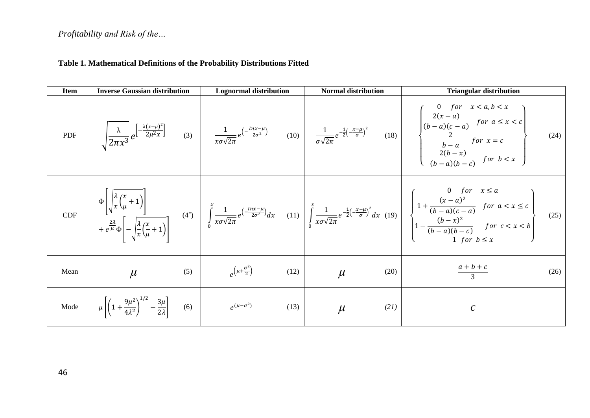# *Profitability and Risk of the…*

# **Table 1. Mathematical Definitions of the Probability Distributions Fitted**

| <b>Item</b> | <b>Inverse Gaussian distribution</b>                                                                | <b>Lognormal distribution</b>             |      | <b>Normal distribution</b> |      | <b>Triangular distribution</b>                                                                                                                                                                                                                                                                                                                                                                                                                                                      |      |
|-------------|-----------------------------------------------------------------------------------------------------|-------------------------------------------|------|----------------------------|------|-------------------------------------------------------------------------------------------------------------------------------------------------------------------------------------------------------------------------------------------------------------------------------------------------------------------------------------------------------------------------------------------------------------------------------------------------------------------------------------|------|
| PDF         |                                                                                                     |                                           |      |                            |      | $\sqrt{\frac{\lambda}{2\pi x^3}}e^{\left[-\frac{\lambda(x-\mu)^2}{2\mu^2 x}\right]} \qquad (3) \qquad \frac{1}{x\sigma\sqrt{2\pi}}e^{\left(-\frac{\ln x-\mu}{2\sigma^2}\right)} \qquad (10) \qquad \frac{1}{\sigma\sqrt{2\pi}}e^{-\frac{1}{2}\left(-\frac{x-\mu}{\sigma}\right)^2} \qquad (18) \qquad \begin{cases} 0 \quad \text{for} \quad x < a,b < x \\ \frac{2(x-a)}{(b-a)(c-a)} \quad \text{for} \quad a \leq x < c \\ \frac{2}{b-a} \quad \text{for} \quad x = c \\ \frac{2$ |      |
|             |                                                                                                     |                                           |      |                            |      | $\text{CDF} \begin{bmatrix} \Phi\left[\sqrt{\frac{\lambda}{x}(\frac{x}{\mu}+1)}\right] & & & \\ \Phi\left[\sqrt{\frac{\lambda}{x}(\frac{x}{\mu}+1)}\right] & & \\ +e^{\frac{2\lambda}{\mu}}\Phi\left[-\sqrt{\frac{\lambda}{x}(\frac{x}{\mu}+1)}\right] & & \end{bmatrix} \begin{bmatrix} \frac{x}{\mu} & 1 & \\ \frac{1}{\mu} & \frac{1}{\mu}e^{-\frac{2\lambda}{x\mu}} & & \\ \frac{1}{\mu} & \frac{1}{\mu}e^{-\frac{2\lambda}{x\mu}} & & \\ \frac{1}{\mu} & \frac{1}{\mu}e$       |      |
| Mean        | (5)<br>$\mu$                                                                                        | $e^{\left(\mu+\frac{\sigma^2}{2}\right)}$ | (12) | $\mu$                      | (20) | $\frac{a+b+c}{a+c}$                                                                                                                                                                                                                                                                                                                                                                                                                                                                 | (26) |
| Mode        | $\mu \left  \left( 1 + \frac{9\mu^2}{4\lambda^2} \right)^{1/2} - \frac{3\mu}{2\lambda} \right $ (6) | $e^{(\mu-\sigma^2)}$                      | (13) | $\mu$                      | (21) | $\mathcal{C}$                                                                                                                                                                                                                                                                                                                                                                                                                                                                       |      |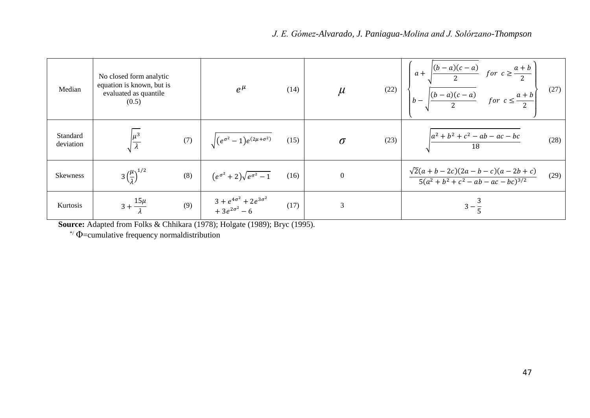| Median                | No closed form analytic<br>equation is known, but is<br>evaluated as quantile<br>(0.5) |     | $e^{\mu}$                                                      | (14) | $\mu$    |      | (22) $\begin{cases} a + \sqrt{\frac{(b-a)(c-a)}{2}} & \text{for } c \ge \frac{a+b}{2} \\ b - \sqrt{\frac{(b-a)(c-a)}{2}} & \text{for } c \le \frac{a+b}{2} \end{cases}$ (27) |      |
|-----------------------|----------------------------------------------------------------------------------------|-----|----------------------------------------------------------------|------|----------|------|------------------------------------------------------------------------------------------------------------------------------------------------------------------------------|------|
| Standard<br>deviation |                                                                                        | (7) | $\sqrt{(e^{\sigma^2}-1)e^{(2\mu+\sigma^2)}}$ (15)              |      | $\sigma$ | (23) | $\frac{a^2 + b^2 + c^2 - ab - ac - bc}{18}$                                                                                                                                  | (28) |
| <b>Skewness</b>       | $3\left(\frac{\mu}{4}\right)^{1/2}$                                                    | (8) | $(e^{\sigma^2}+2)\sqrt{e^{\sigma^2}-1}$                        | (16) | $\theta$ |      | $\frac{\sqrt{2}(a+b-2c)(2a-b-c)(a-2b+c)}{5(a^2+b^2+c^2-ab-ac-bc)^{3/2}}$                                                                                                     | (29) |
| Kurtosis              | $3 + \frac{15\mu}{1}$                                                                  | (9) | $3 + e^{4\sigma^2} + 2e^{3\sigma^2}$<br>+ $3e^{2\sigma^2} - 6$ | (17) | 3        |      | $3 - \frac{5}{5}$                                                                                                                                                            |      |

**Source:** Adapted from Folks & Chhikara (1978); Holgate (1989); Bryc (1995).

 $*$   $\Phi$ =cumulative frequency normaldistribution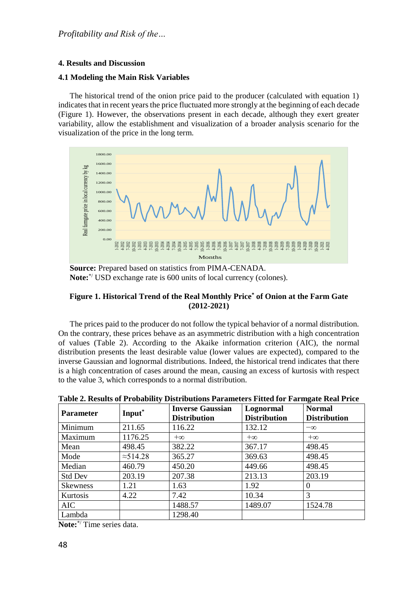# **4. Results and Discussion**

## **4.1 Modeling the Main Risk Variables**

The historical trend of the onion price paid to the producer (calculated with equation 1) indicates that in recent years the price fluctuated more strongly at the beginning of each decade (Figure 1). However, the observations present in each decade, although they exert greater variability, allow the establishment and visualization of a broader analysis scenario for the visualization of the price in the long term.



**Source:** Prepared based on statistics from PIMA-CENADA. **Note:**\*/ USD exchange rate is 600 units of local currency (colones).

## **Figure 1. Historical Trend of the Real Monthly Price\* of Onion at the Farm Gate (2012-2021)**

The prices paid to the producer do not follow the typical behavior of a normal distribution. On the contrary, these prices behave as an asymmetric distribution with a high concentration of values (Table 2). According to the Akaike information criterion (AIC), the normal distribution presents the least desirable value (lower values are expected), compared to the inverse Gaussian and lognormal distributions. Indeed, the historical trend indicates that there is a high concentration of cases around the mean, causing an excess of kurtosis with respect to the value 3, which corresponds to a normal distribution.

| <b>Parameter</b> | Input <sup>*</sup> | <b>Inverse Gaussian</b><br><b>Distribution</b> | Lognormal<br><b>Distribution</b> | <b>Normal</b><br><b>Distribution</b> |  |  |  |  |  |
|------------------|--------------------|------------------------------------------------|----------------------------------|--------------------------------------|--|--|--|--|--|
| Minimum          | 211.65             | 116.22                                         | 132.12                           | $-\infty$                            |  |  |  |  |  |
| Maximum          | 1176.25            | $+\infty$                                      | $+\infty$                        | $+\infty$                            |  |  |  |  |  |
| Mean             | 498.45             | 382.22                                         | 367.17                           | 498.45                               |  |  |  |  |  |
| Mode             | $\approx$ 514.28   | 365.27                                         | 369.63                           | 498.45                               |  |  |  |  |  |
| Median           | 460.79             | 450.20                                         | 449.66                           | 498.45                               |  |  |  |  |  |
| <b>Std Dev</b>   | 203.19             | 207.38                                         | 213.13                           | 203.19                               |  |  |  |  |  |
| <b>Skewness</b>  | 1.21               | 1.63                                           | 1.92                             | $\Omega$                             |  |  |  |  |  |
| Kurtosis         | 4.22               | 7.42                                           | 10.34                            | 3                                    |  |  |  |  |  |
| AIC.             |                    | 1488.57                                        | 1489.07                          | 1524.78                              |  |  |  |  |  |
| Lambda           |                    | 1298.40                                        |                                  |                                      |  |  |  |  |  |

**Table 2. Results of Probability Distributions Parameters Fitted for Farmgate Real Price**

**Note:**\*/ Time series data.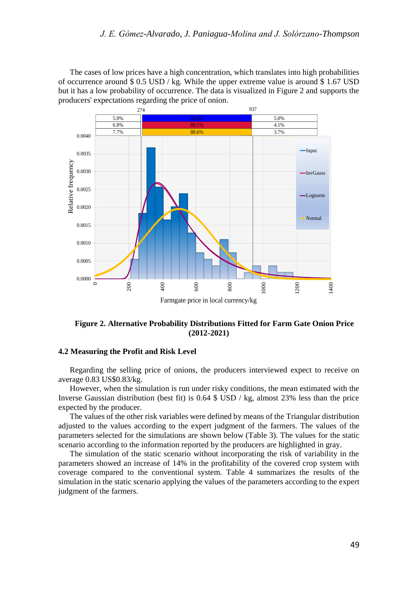The cases of low prices have a high concentration, which translates into high probabilities of occurrence around  $\frac{1}{2}$  0.5 USD / kg. While the upper extreme value is around  $\frac{1}{2}$  1.67 USD but it has a low probability of occurrence. The data is visualized in Figure 2 and supports the producers' expectations regarding the price of onion.



**Figure 2. Alternative Probability Distributions Fitted for Farm Gate Onion Price (2012-2021)**

### **4.2 Measuring the Profit and Risk Level**

Regarding the selling price of onions, the producers interviewed expect to receive on average 0.83 US\$0.83/kg.

However, when the simulation is run under risky conditions, the mean estimated with the Inverse Gaussian distribution (best fit) is 0.64 \$ USD / kg, almost 23% less than the price expected by the producer.

The values of the other risk variables were defined by means of the Triangular distribution adjusted to the values according to the expert judgment of the farmers. The values of the parameters selected for the simulations are shown below (Table 3). The values for the static scenario according to the information reported by the producers are highlighted in gray.

The simulation of the static scenario without incorporating the risk of variability in the parameters showed an increase of 14% in the profitability of the covered crop system with coverage compared to the conventional system. Table 4 summarizes the results of the simulation in the static scenario applying the values of the parameters according to the expert judgment of the farmers.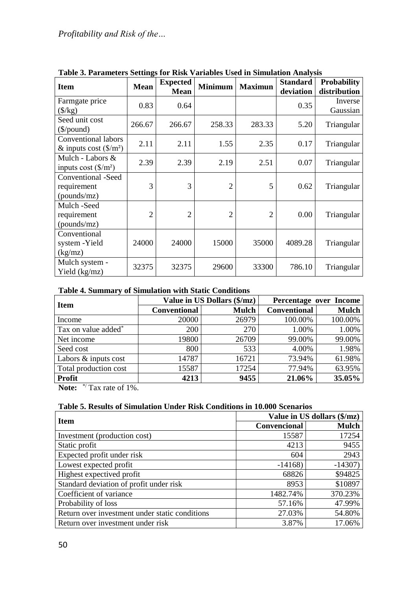| <b>Item</b>                                            | <b>Mean</b>    | <b>Expected</b><br><b>Mean</b> | <b>Minimum</b> | <b>Maximun</b> | <b>Standard</b><br>deviation | <b>Probability</b><br>distribution |
|--------------------------------------------------------|----------------|--------------------------------|----------------|----------------|------------------------------|------------------------------------|
| Farmgate price<br>$(\frac{5}{kg})$                     | 0.83           | 0.64                           |                |                | 0.35                         | Inverse<br>Gaussian                |
| Seed unit cost<br>$(\frac{\sqrt{2}}{2})$               | 266.67         | 266.67                         | 258.33         | 283.33         | 5.20                         | Triangular                         |
| Conventional labors<br>& inputs cost $(\frac{5}{m^2})$ | 2.11           | 2.11                           | 1.55           | 2.35           | 0.17                         | Triangular                         |
| Mulch - Labors &<br>inputs cost $(\frac{C}{m^2})$      | 2.39           | 2.39                           | 2.19           | 2.51           | 0.07                         | Triangular                         |
| Conventional -Seed<br>requirement<br>(pounds/mz)       | 3              | 3                              | 2              | 5              | 0.62                         | Triangular                         |
| Mulch-Seed<br>requirement<br>(pounds/mz)               | $\overline{2}$ | $\overline{2}$                 | $\overline{2}$ | $\overline{2}$ | 0.00                         | Triangular                         |
| Conventional<br>system - Yield<br>(kg/mz)              | 24000          | 24000                          | 15000          | 35000          | 4089.28                      | Triangular                         |
| Mulch system -<br>Yield (kg/mz)                        | 32375          | 32375                          | 29600          | 33300          | 786.10                       | Triangular                         |

**Table 3. Parameters Settings for Risk Variables Used in Simulation Analysis**

# **Table 4. Summary of Simulation with Static Conditions**

| <b>Item</b>                           |                     | Value in US Dollars (\$/mz) | Percentage over Income |              |  |
|---------------------------------------|---------------------|-----------------------------|------------------------|--------------|--|
|                                       | <b>Conventional</b> | <b>Mulch</b>                | <b>Conventional</b>    | <b>Mulch</b> |  |
| Income                                | 20000               | 26979                       | 100.00%                | 100.00%      |  |
| Tax on value added <sup>*</sup>       | 200                 | 270                         | 1.00%                  | 1.00%        |  |
| Net income                            | 19800               | 26709                       | 99.00%                 | 99.00%       |  |
| Seed cost                             | 800                 | 533                         | 4.00%                  | 1.98%        |  |
| Labors & inputs cost                  | 14787               | 16721                       | 73.94%                 | 61.98%       |  |
| Total production cost                 | 15587               | 17254                       | 77.94%                 | 63.95%       |  |
| <b>Profit</b><br>when the contract of | 4213                | 9455                        | 21.06%                 | 35.05%       |  |

Note:  $\sqrt[*]{\text{Tax rate of 1\%}}$ .

# **Table 5. Results of Simulation Under Risk Conditions in 10.000 Scenarios**

|                                                |              | Value in US dollars (\$/mz) |
|------------------------------------------------|--------------|-----------------------------|
| <b>Item</b>                                    | Convencional | <b>Mulch</b>                |
| Investment (production cost)                   | 15587        | 17254                       |
| Static profit                                  | 4213         | 9455                        |
| Expected profit under risk                     | 604          | 2943                        |
| Lowest expected profit                         | $-14168$     | $-14307$                    |
| Highest expectived profit                      | 68826        | \$94825                     |
| Standard deviation of profit under risk        | 8953         | \$10897                     |
| Coefficient of variance                        | 1482.74%     | 370.23%                     |
| Probability of loss                            | 57.16%       | 47.99%                      |
| Return over investment under static conditions | 27.03%       | 54.80%                      |
| Return over investment under risk              | 3.87%        | 17.06%                      |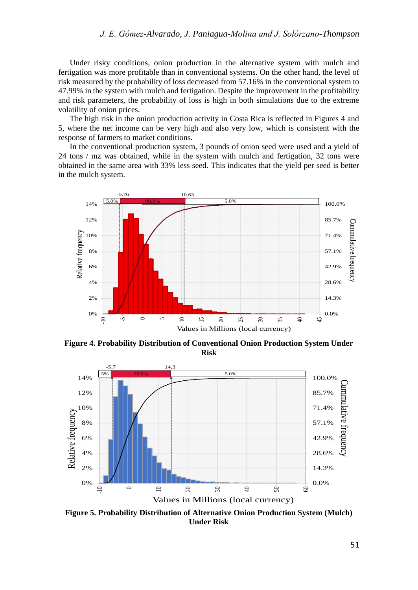Under risky conditions, onion production in the alternative system with mulch and fertigation was more profitable than in conventional systems. On the other hand, the level of risk measured by the probability of loss decreased from 57.16% in the conventional system to 47.99% in the system with mulch and fertigation. Despite the improvement in the profitability and risk parameters, the probability of loss is high in both simulations due to the extreme volatility of onion prices.

The high risk in the onion production activity in Costa Rica is reflected in Figures 4 and 5, where the net income can be very high and also very low, which is consistent with the response of farmers to market conditions.

In the conventional production system, 3 pounds of onion seed were used and a yield of 24 tons / mz was obtained, while in the system with mulch and fertigation, 32 tons were obtained in the same area with 33% less seed. This indicates that the yield per seed is better in the mulch system.



**Figure 4. Probability Distribution of Conventional Onion Production System Under Risk**



**Figure 5. Probability Distribution of Alternative Onion Production System (Mulch) Under Risk**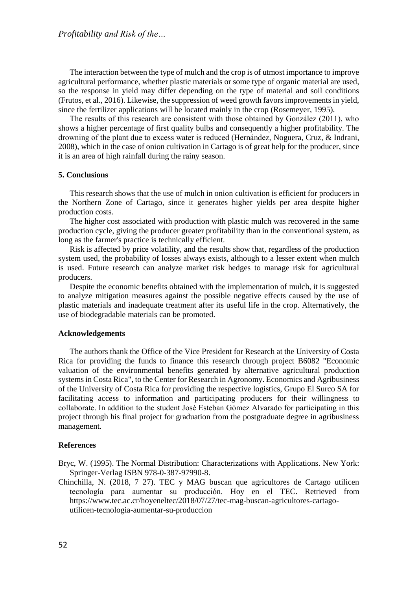The interaction between the type of mulch and the crop is of utmost importance to improve agricultural performance, whether plastic materials or some type of organic material are used, so the response in yield may differ depending on the type of material and soil conditions (Frutos, et al., 2016). Likewise, the suppression of weed growth favors improvements in yield, since the fertilizer applications will be located mainly in the crop (Rosemeyer, 1995).

The results of this research are consistent with those obtained by González (2011), who shows a higher percentage of first quality bulbs and consequently a higher profitability. The drowning of the plant due to excess water is reduced (Hernández, Noguera, Cruz, & Indrani, 2008), which in the case of onion cultivation in Cartago is of great help for the producer, since it is an area of high rainfall during the rainy season.

### **5. Conclusions**

This research shows that the use of mulch in onion cultivation is efficient for producers in the Northern Zone of Cartago, since it generates higher yields per area despite higher production costs.

The higher cost associated with production with plastic mulch was recovered in the same production cycle, giving the producer greater profitability than in the conventional system, as long as the farmer's practice is technically efficient.

Risk is affected by price volatility, and the results show that, regardless of the production system used, the probability of losses always exists, although to a lesser extent when mulch is used. Future research can analyze market risk hedges to manage risk for agricultural producers.

Despite the economic benefits obtained with the implementation of mulch, it is suggested to analyze mitigation measures against the possible negative effects caused by the use of plastic materials and inadequate treatment after its useful life in the crop. Alternatively, the use of biodegradable materials can be promoted.

### **Acknowledgements**

The authors thank the Office of the Vice President for Research at the University of Costa Rica for providing the funds to finance this research through project B6082 "Economic valuation of the environmental benefits generated by alternative agricultural production systems in Costa Rica", to the Center for Research in Agronomy. Economics and Agribusiness of the University of Costa Rica for providing the respective logistics, Grupo El Surco SA for facilitating access to information and participating producers for their willingness to collaborate. In addition to the student José Esteban Gómez Alvarado for participating in this project through his final project for graduation from the postgraduate degree in agribusiness management.

#### **References**

Bryc, W. (1995). The Normal Distribution: Characterizations with Applications. New York: Springer-Verlag ISBN 978-0-387-97990-8.

Chinchilla, N. (2018, 7 27). TEC y MAG buscan que agricultores de Cartago utilicen tecnología para aumentar su producción. Hoy en el TEC. Retrieved from https://www.tec.ac.cr/hoyeneltec/2018/07/27/tec-mag-buscan-agricultores-cartagoutilicen-tecnologia-aumentar-su-produccion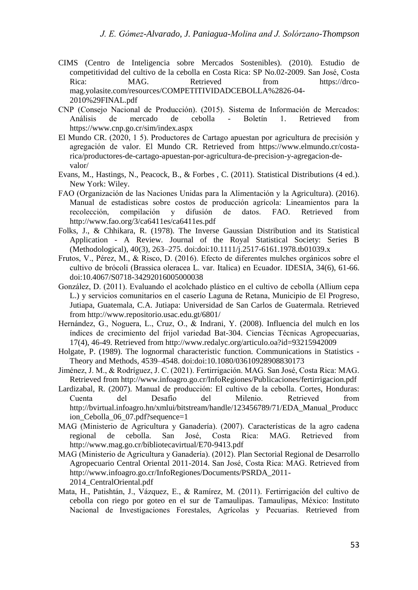- CIMS (Centro de Inteligencia sobre Mercados Sostenibles). (2010). Estudio de competitividad del cultivo de la cebolla en Costa Rica: SP No.02-2009. San José, Costa Rica: MAG. Retrieved from https://drcomag.yolasite.com/resources/COMPETITIVIDADCEBOLLA%2826-04- 2010%29FINAL.pdf
- CNP (Consejo Nacional de Producción). (2015). Sistema de Información de Mercados: Análisis de mercado de cebolla - Boletín 1. Retrieved from https://www.cnp.go.cr/sim/index.aspx
- El Mundo CR. (2020, 1 5). Productores de Cartago apuestan por agricultura de precisión y agregación de valor. El Mundo CR. Retrieved from https://www.elmundo.cr/costarica/productores-de-cartago-apuestan-por-agricultura-de-precision-y-agregacion-devalor/
- Evans, M., Hastings, N., Peacock, B., & Forbes , C. (2011). Statistical Distributions (4 ed.). New York: Wiley.
- FAO (Organización de las Naciones Unidas para la Alimentación y la Agricultura). (2016). Manual de estadísticas sobre costos de producción agrícola: Lineamientos para la recolección, compilación y difusión de datos. FAO. Retrieved from http://www.fao.org/3/ca6411es/ca6411es.pdf
- Folks, J., & Chhikara, R. (1978). The Inverse Gaussian Distribution and its Statistical Application - A Review. Journal of the Royal Statistical Society: Series B (Methodological), 40(3), 263–275. doi:doi:10.1111/j.2517-6161.1978.tb01039.x
- Frutos, V., Pérez, M., & Risco, D. (2016). Efecto de diferentes mulches orgánicos sobre el cultivo de brócoli (Brassica oleracea L. var. Italica) en Ecuador. IDESIA, 34(6), 61-66. doi:10.4067/S0718-34292016005000038
- González, D. (2011). Evaluando el acolchado plástico en el cultivo de cebolla (Allium cepa L.) y servicios comunitarios en el caserío Laguna de Retana, Municipio de El Progreso, Jutiapa, Guatemala, C.A. Jutiapa: Universidad de San Carlos de Guatermala. Retrieved from http://www.repositorio.usac.edu.gt/6801/
- Hernández, G., Noguera, L., Cruz, O., & Indrani, Y. (2008). Influencia del mulch en los índices de crecimiento del frijol variedad Bat-304. Ciencias Técnicas Agropecuarias, 17(4), 46-49. Retrieved from http://www.redalyc.org/articulo.oa?id=93215942009
- Holgate, P. (1989). The lognormal characteristic function. Communications in Statistics Theory and Methods, 4539–4548. doi:doi:10.1080/03610928908830173
- Jiménez, J. M., & Rodríguez, J. C. (2021). Fertirrigación. MAG. San José, Costa Rica: MAG. Retrieved from http://www.infoagro.go.cr/InfoRegiones/Publicaciones/fertirrigacion.pdf
- Lardizabal, R. (2007). Manual de producción: El cultivo de la cebolla. Cortes, Honduras: Cuenta del Desafío del Milenio. Retrieved from http://bvirtual.infoagro.hn/xmlui/bitstream/handle/123456789/71/EDA\_Manual\_Producc ion Cebolla 06 07.pdf?sequence=1
- MAG (Ministerio de Agricultura y Ganadería). (2007). Características de la agro cadena regional de cebolla. San José, Costa Rica: MAG. Retrieved from http://www.mag.go.cr/bibliotecavirtual/E70-9413.pdf
- MAG (Ministerio de Agricultura y Ganadería). (2012). Plan Sectorial Regional de Desarrollo Agropecuario Central Oriental 2011-2014. San José, Costa Rica: MAG. Retrieved from http://www.infoagro.go.cr/InfoRegiones/Documents/PSRDA\_2011- 2014\_CentralOriental.pdf
- Mata, H., Patishtán, J., Vázquez, E., & Ramírez, M. (2011). Fertirrigación del cultivo de cebolla con riego por goteo en el sur de Tamaulipas. Tamaulipas, México: Instituto Nacional de Investigaciones Forestales, Agrícolas y Pecuarias. Retrieved from